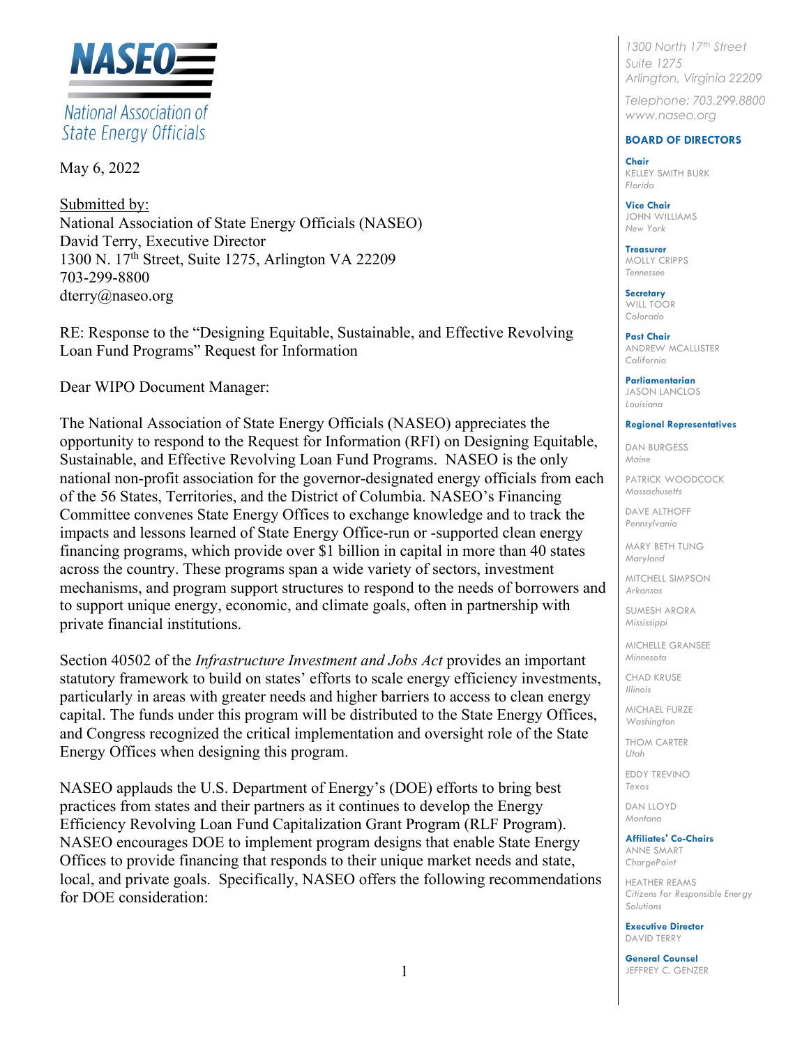

# National Association of **State Energy Officials**

May 6, 2022

Submitted by: National Association of State Energy Officials (NASEO) David Terry, Executive Director 1300 N. 17th Street, Suite 1275, Arlington VA 22209 703-299-8800 dterry@naseo.org

RE: Response to the "Designing Equitable, Sustainable, and Effective Revolving Loan Fund Programs" Request for Information

Dear WIPO Document Manager:

The National Association of State Energy Officials (NASEO) appreciates the opportunity to respond to the Request for Information (RFI) on Designing Equitable, Sustainable, and Effective Revolving Loan Fund Programs. NASEO is the only national non-profit association for the governor-designated energy officials from each of the 56 States, Territories, and the District of Columbia. NASEO's Financing Committee convenes State Energy Offices to exchange knowledge and to track the impacts and lessons learned of State Energy Office-run or -supported clean energy financing programs, which provide over \$1 billion in capital in more than 40 states across the country. These programs span a wide variety of sectors, investment mechanisms, and program support structures to respond to the needs of borrowers and to support unique energy, economic, and climate goals, often in partnership with private financial institutions.

Section 40502 of the *Infrastructure Investment and Jobs Act* provides an important statutory framework to build on states' efforts to scale energy efficiency investments, particularly in areas with greater needs and higher barriers to access to clean energy capital. The funds under this program will be distributed to the State Energy Offices, and Congress recognized the critical implementation and oversight role of the State Energy Offices when designing this program.

NASEO applauds the U.S. Department of Energy's (DOE) efforts to bring best practices from states and their partners as it continues to develop the Energy Efficiency Revolving Loan Fund Capitalization Grant Program (RLF Program). NASEO encourages DOE to implement program designs that enable State Energy Offices to provide financing that responds to their unique market needs and state, local, and private goals. Specifically, NASEO offers the following recommendations for DOE consideration:

*1300 North 17th Street Suite 1275 Arlington, Virginia 22209*

*Telephone: 703.299.8800 www.naseo.org*

# **BOARD OF DIRECTORS**

**Chair** KELLEY SMITH BURK *Florida*

**Vice Chair** JOHN WILLIAMS *New York*

**Treasurer**  MOLLY CRIPPS *Tennessee*

**Secretary** WILL TOOR *Colorado*

**Past Chair** ANDREW MCALLISTER *California*

**Parliamentarian** JASON LANCLOS *Louisiana*

### **Regional Representatives**

DAN BURGESS *Maine*

PATRICK WOODCOCK *Massachusetts*

DAVE ALTHOFF *Pennsylvania* 

MARY BETH TUNG *Maryland*

MITCHELL SIMPSON *Arkansas*

SUMESH ARORA *Mississippi*

MICHELLE GRANSEE *Minnesota*

CHAD KRUSE *Illinois*

MICHAEL FURZE *Washington* 

THOM CARTER *Utah*

EDDY TREVINO *Texas*

DAN LLOYD *Montana*

# **Affiliates' Co-Chairs**

ANNE SMART *ChargePoint*

HEATHER REAMS *Citizens for Responsible Energy Solutions*

**Executive Director** DAVID TERRY

**General Counsel** JEFFREY C. GENZER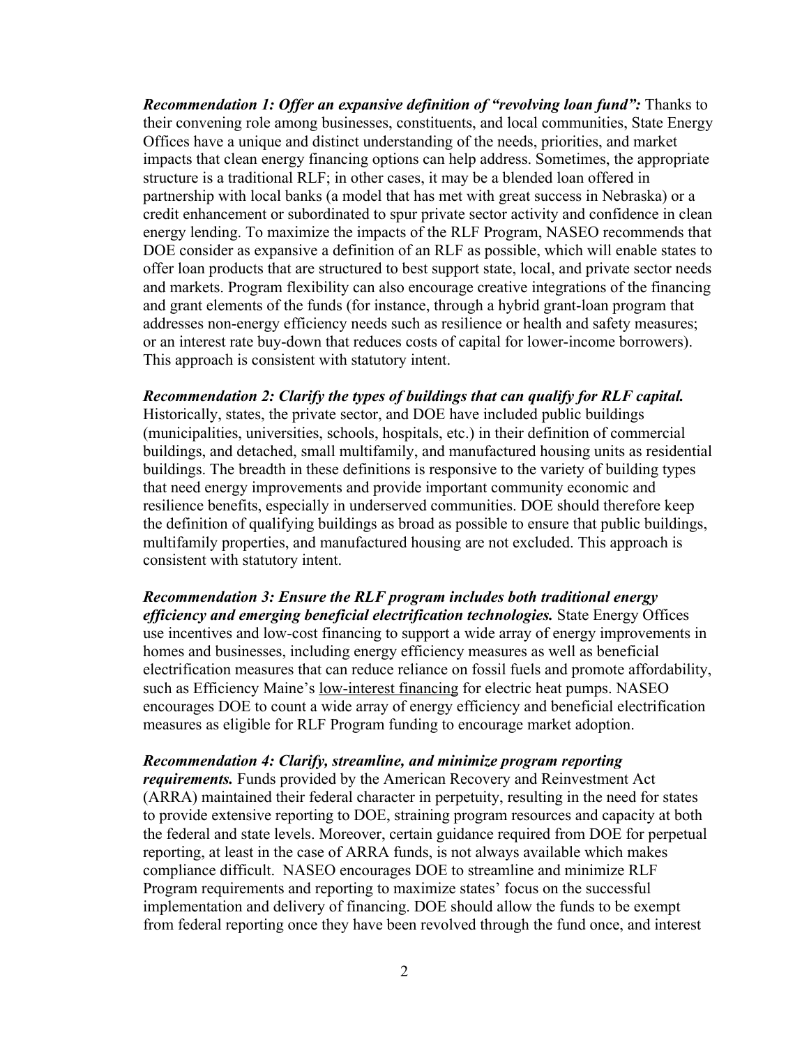*Recommendation 1: Offer an expansive definition of "revolving loan fund": Thanks to* their convening role among businesses, constituents, and local communities, State Energy Offices have a unique and distinct understanding of the needs, priorities, and market impacts that clean energy financing options can help address. Sometimes, the appropriate structure is a traditional RLF; in other cases, it may be a blended loan offered in partnership with local banks (a model that has met with great success in Nebraska) or a credit enhancement or subordinated to spur private sector activity and confidence in clean energy lending. To maximize the impacts of the RLF Program, NASEO recommends that DOE consider as expansive a definition of an RLF as possible, which will enable states to offer loan products that are structured to best support state, local, and private sector needs and markets. Program flexibility can also encourage creative integrations of the financing and grant elements of the funds (for instance, through a hybrid grant-loan program that addresses non-energy efficiency needs such as resilience or health and safety measures; or an interest rate buy-down that reduces costs of capital for lower-income borrowers). This approach is consistent with statutory intent.

*Recommendation 2: Clarify the types of buildings that can qualify for RLF capital.* Historically, states, the private sector, and DOE have included public buildings (municipalities, universities, schools, hospitals, etc.) in their definition of commercial buildings, and detached, small multifamily, and manufactured housing units as residential buildings. The breadth in these definitions is responsive to the variety of building types that need energy improvements and provide important community economic and resilience benefits, especially in underserved communities. DOE should therefore keep the definition of qualifying buildings as broad as possible to ensure that public buildings, multifamily properties, and manufactured housing are not excluded. This approach is consistent with statutory intent.

*Recommendation 3: Ensure the RLF program includes both traditional energy efficiency and emerging beneficial electrification technologies.* State Energy Offices use incentives and low-cost financing to support a wide array of energy improvements in homes and businesses, including energy efficiency measures as well as beneficial electrification measures that can reduce reliance on fossil fuels and promote affordability, such as Efficiency Maine's low-interest financing for electric heat pumps. NASEO encourages DOE to count a wide array of energy efficiency and beneficial electrification measures as eligible for RLF Program funding to encourage market adoption.

# *Recommendation 4: Clarify, streamline, and minimize program reporting*

*requirements.* Funds provided by the American Recovery and Reinvestment Act (ARRA) maintained their federal character in perpetuity, resulting in the need for states to provide extensive reporting to DOE, straining program resources and capacity at both the federal and state levels. Moreover, certain guidance required from DOE for perpetual reporting, at least in the case of ARRA funds, is not always available which makes compliance difficult. NASEO encourages DOE to streamline and minimize RLF Program requirements and reporting to maximize states' focus on the successful implementation and delivery of financing. DOE should allow the funds to be exempt from federal reporting once they have been revolved through the fund once, and interest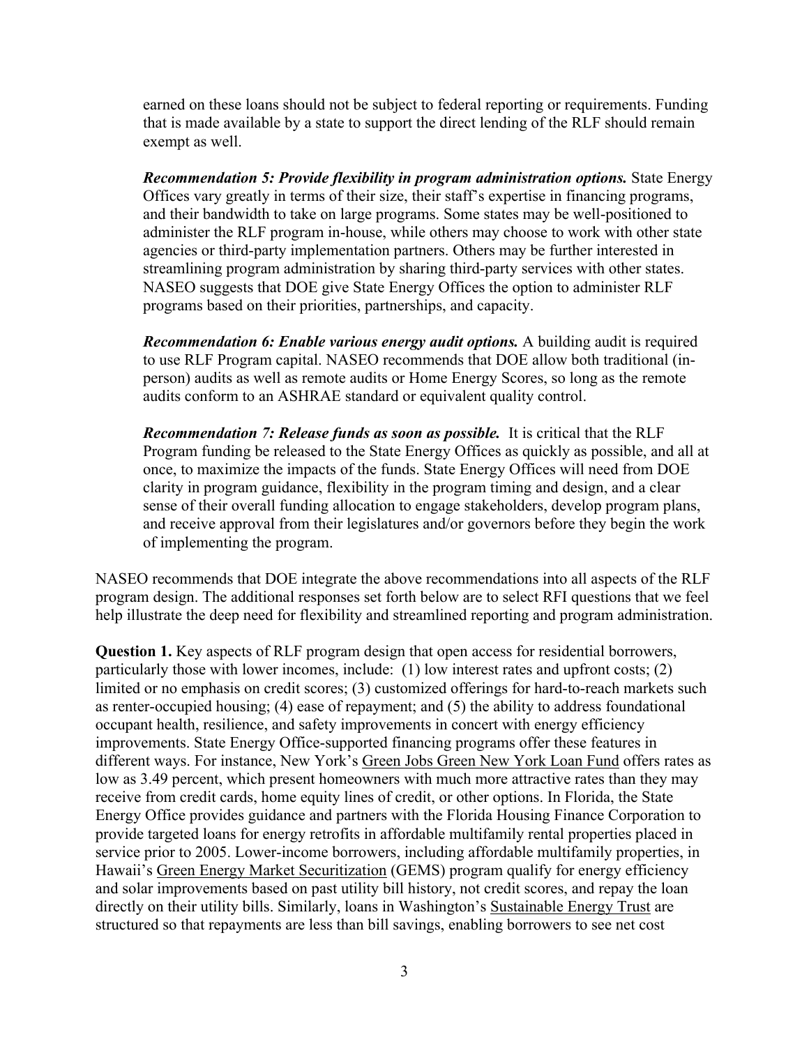earned on these loans should not be subject to federal reporting or requirements. Funding that is made available by a state to support the direct lending of the RLF should remain exempt as well.

*Recommendation 5: Provide flexibility in program administration options. State Energy* Offices vary greatly in terms of their size, their staff's expertise in financing programs, and their bandwidth to take on large programs. Some states may be well-positioned to administer the RLF program in-house, while others may choose to work with other state agencies or third-party implementation partners. Others may be further interested in streamlining program administration by sharing third-party services with other states. NASEO suggests that DOE give State Energy Offices the option to administer RLF programs based on their priorities, partnerships, and capacity.

*Recommendation 6: Enable various energy audit options.* A building audit is required to use RLF Program capital. NASEO recommends that DOE allow both traditional (inperson) audits as well as remote audits or Home Energy Scores, so long as the remote audits conform to an ASHRAE standard or equivalent quality control.

*Recommendation 7: Release funds as soon as possible.* It is critical that the RLF Program funding be released to the State Energy Offices as quickly as possible, and all at once, to maximize the impacts of the funds. State Energy Offices will need from DOE clarity in program guidance, flexibility in the program timing and design, and a clear sense of their overall funding allocation to engage stakeholders, develop program plans, and receive approval from their legislatures and/or governors before they begin the work of implementing the program.

NASEO recommends that DOE integrate the above recommendations into all aspects of the RLF program design. The additional responses set forth below are to select RFI questions that we feel help illustrate the deep need for flexibility and streamlined reporting and program administration.

**Question 1.** Key aspects of RLF program design that open access for residential borrowers, particularly those with lower incomes, include: (1) low interest rates and upfront costs; (2) limited or no emphasis on credit scores; (3) customized offerings for hard-to-reach markets such as renter-occupied housing; (4) ease of repayment; and (5) the ability to address foundational occupant health, resilience, and safety improvements in concert with energy efficiency improvements. State Energy Office-supported financing programs offer these features in different ways. For instance, New York's Green Jobs Green New York Loan Fund offers rates as low as 3.49 percent, which present homeowners with much more attractive rates than they may receive from credit cards, home equity lines of credit, or other options. In Florida, the State Energy Office provides guidance and partners with the Florida Housing Finance Corporation to provide targeted loans for energy retrofits in affordable multifamily rental properties placed in service prior to 2005. Lower-income borrowers, including affordable multifamily properties, in Hawaii's Green Energy Market Securitization (GEMS) program qualify for energy efficiency and solar improvements based on past utility bill history, not credit scores, and repay the loan directly on their utility bills. Similarly, loans in Washington's Sustainable Energy Trust are structured so that repayments are less than bill savings, enabling borrowers to see net cost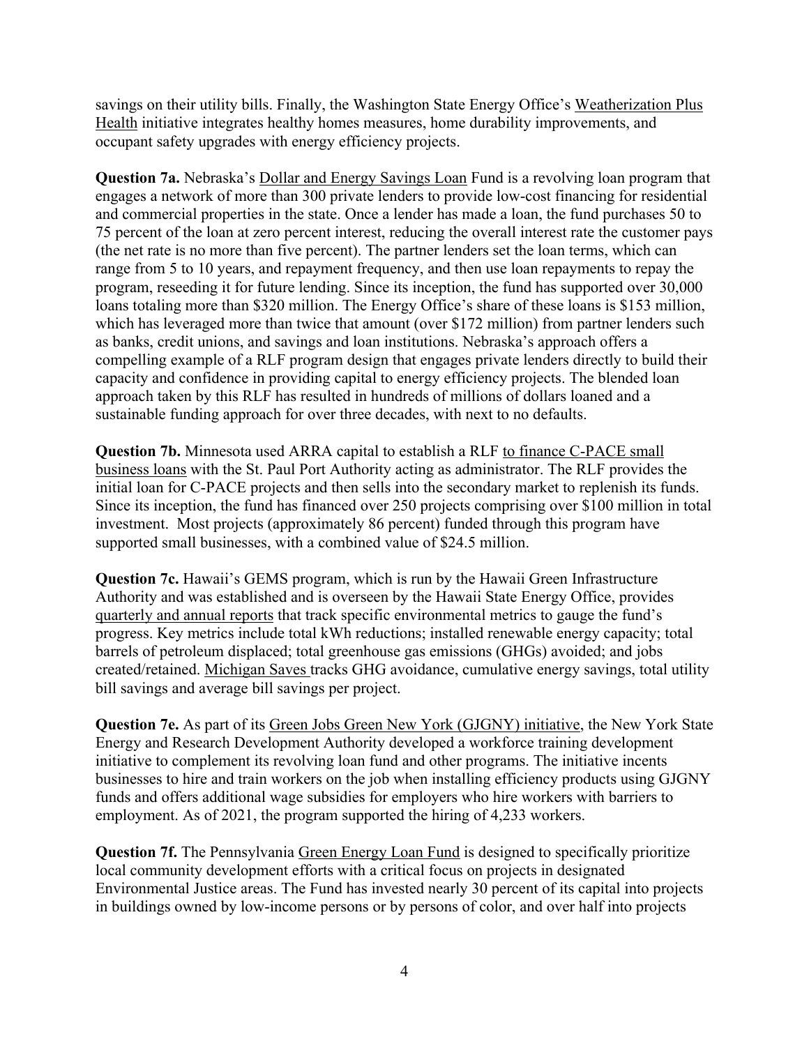savings on their utility bills. Finally, the Washington State Energy Office's Weatherization Plus Health initiative integrates healthy homes measures, home durability improvements, and occupant safety upgrades with energy efficiency projects.

**Question 7a.** Nebraska's Dollar and Energy Savings Loan Fund is a revolving loan program that engages a network of more than 300 private lenders to provide low-cost financing for residential and commercial properties in the state. Once a lender has made a loan, the fund purchases 50 to 75 percent of the loan at zero percent interest, reducing the overall interest rate the customer pays (the net rate is no more than five percent). The partner lenders set the loan terms, which can range from 5 to 10 years, and repayment frequency, and then use loan repayments to repay the program, reseeding it for future lending. Since its inception, the fund has supported over 30,000 loans totaling more than \$320 million. The Energy Office's share of these loans is \$153 million, which has leveraged more than twice that amount (over \$172 million) from partner lenders such as banks, credit unions, and savings and loan institutions. Nebraska's approach offers a compelling example of a RLF program design that engages private lenders directly to build their capacity and confidence in providing capital to energy efficiency projects. The blended loan approach taken by this RLF has resulted in hundreds of millions of dollars loaned and a sustainable funding approach for over three decades, with next to no defaults.

**Question 7b.** Minnesota used ARRA capital to establish a RLF to finance C-PACE small business loans with the St. Paul Port Authority acting as administrator. The RLF provides the initial loan for C-PACE projects and then sells into the secondary market to replenish its funds. Since its inception, the fund has financed over 250 projects comprising over \$100 million in total investment. Most projects (approximately 86 percent) funded through this program have supported small businesses, with a combined value of \$24.5 million.

**Question 7c.** Hawaii's GEMS program, which is run by the Hawaii Green Infrastructure Authority and was established and is overseen by the Hawaii State Energy Office, provides quarterly and annual reports that track specific environmental metrics to gauge the fund's progress. Key metrics include total kWh reductions; installed renewable energy capacity; total barrels of petroleum displaced; total greenhouse gas emissions (GHGs) avoided; and jobs created/retained. Michigan Saves tracks GHG avoidance, cumulative energy savings, total utility bill savings and average bill savings per project.

**Question 7e.** As part of its Green Jobs Green New York (GJGNY) initiative, the New York State Energy and Research Development Authority developed a workforce training development initiative to complement its revolving loan fund and other programs. The initiative incents businesses to hire and train workers on the job when installing efficiency products using GJGNY funds and offers additional wage subsidies for employers who hire workers with barriers to employment. As of 2021, the program supported the hiring of 4,233 workers.

**Question 7f.** The Pennsylvania Green Energy Loan Fund is designed to specifically prioritize local community development efforts with a critical focus on projects in designated Environmental Justice areas. The Fund has invested nearly 30 percent of its capital into projects in buildings owned by low-income persons or by persons of color, and over half into projects